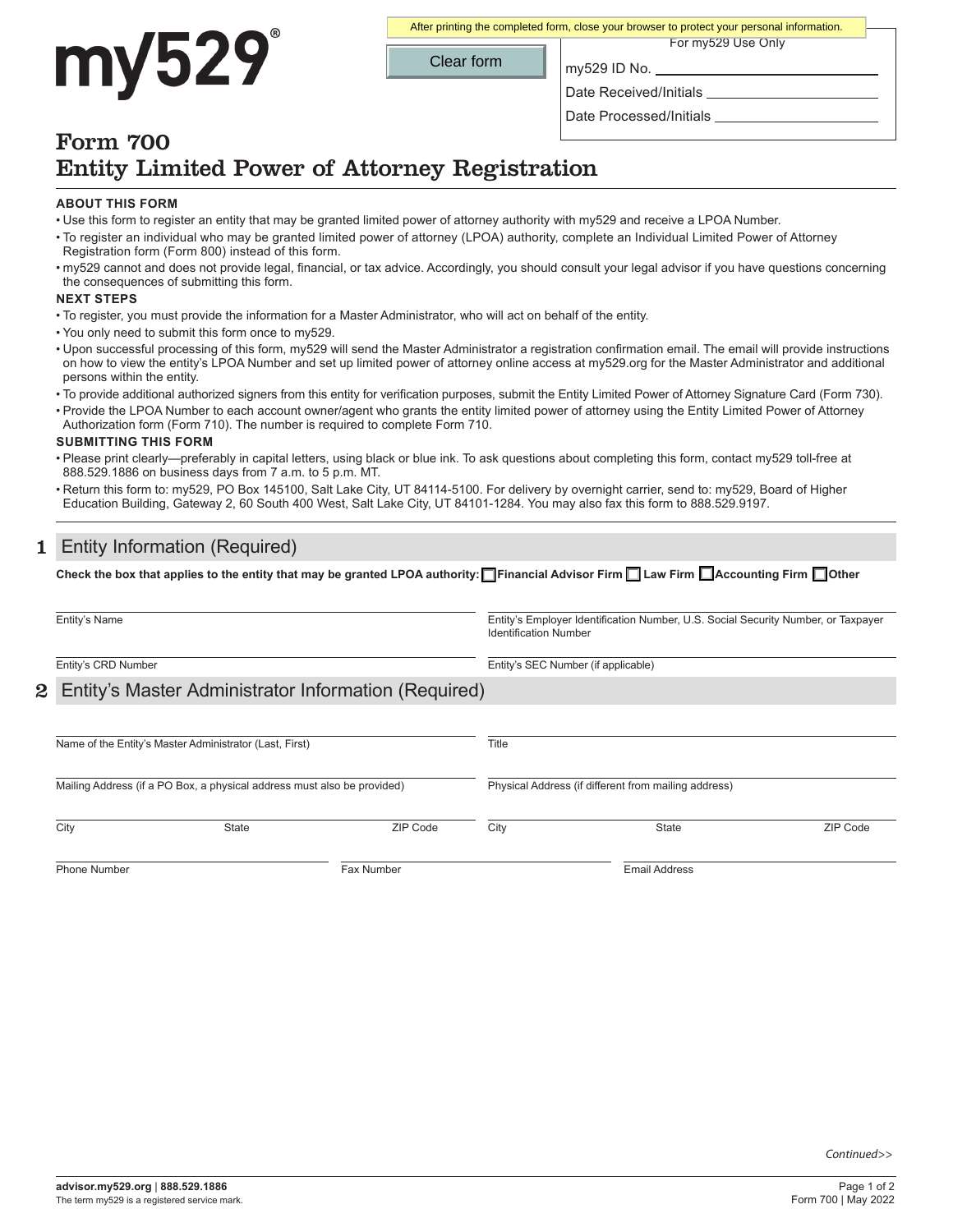# my529

For my529 Use Only After printing the completed form, close your browser to protect your personal information.

Clear form

my529 ID No.

Date Received/Initials

Date Processed/Initials

## Form 700 Entity Limited Power of Attorney Registration

#### **ABOUT THIS FORM**

- Use this form to register an entity that may be granted limited power of attorney authority with my529 and receive a LPOA Number.
- To register an individual who may be granted limited power of attorney (LPOA) authority, complete an Individual Limited Power of Attorney Registration form (Form 800) instead of this form.
- my529 cannot and does not provide legal, financial, or tax advice. Accordingly, you should consult your legal advisor if you have questions concerning the consequences of submitting this form.

#### **NEXT STEPS**

- To register, you must provide the information for a Master Administrator, who will act on behalf of the entity.
- You only need to submit this form once to my529.
- Upon successful processing of this form, my529 will send the Master Administrator a registration confirmation email. The email will provide instructions on how to view the entity's LPOA Number and set up limited power of attorney online access at my529.org for the Master Administrator and additional persons within the entity.
- To provide additional authorized signers from this entity for verification purposes, submit the Entity Limited Power of Attorney Signature Card (Form 730).
- Provide the LPOA Number to each account owner/agent who grants the entity limited power of attorney using the Entity Limited Power of Attorney Authorization form (Form 710). The number is required to complete Form 710.

#### **SUBMITTING THIS FORM**

- Please print clearly—preferably in capital letters, using black or blue ink. To ask questions about completing this form, contact my529 toll-free at 888.529.1886 on business days from 7 a.m. to 5 p.m. MT.
- Return this form to: my529, PO Box 145100, Salt Lake City, UT 84114-5100. For delivery by overnight carrier, send to: my529, Board of Higher Education Building, Gateway 2, 60 South 400 West, Salt Lake City, UT 84101-1284. You may also fax this form to 888.529.9197.

## 1 Entity Information (Required)

**Check the box that applies to the entity that may be granted LPOA authority: Financial Advisor Firm Law Firm Accounting Firm Other**

| Entity's Name<br>Entity's CRD Number                                    |              |          | Entity's Employer Identification Number, U.S. Social Security Number, or Taxpayer<br><b>Identification Number</b><br>Entity's SEC Number (if applicable) |              |          |  |
|-------------------------------------------------------------------------|--------------|----------|----------------------------------------------------------------------------------------------------------------------------------------------------------|--------------|----------|--|
|                                                                         |              |          |                                                                                                                                                          |              |          |  |
|                                                                         |              |          |                                                                                                                                                          |              |          |  |
| Name of the Entity's Master Administrator (Last, First)                 |              |          | Title                                                                                                                                                    |              |          |  |
| Mailing Address (if a PO Box, a physical address must also be provided) |              |          | Physical Address (if different from mailing address)                                                                                                     |              |          |  |
| City                                                                    | <b>State</b> | ZIP Code | City                                                                                                                                                     | <b>State</b> | ZIP Code |  |
| <b>Phone Number</b>                                                     | Fax Number   |          | <b>Email Address</b>                                                                                                                                     |              |          |  |